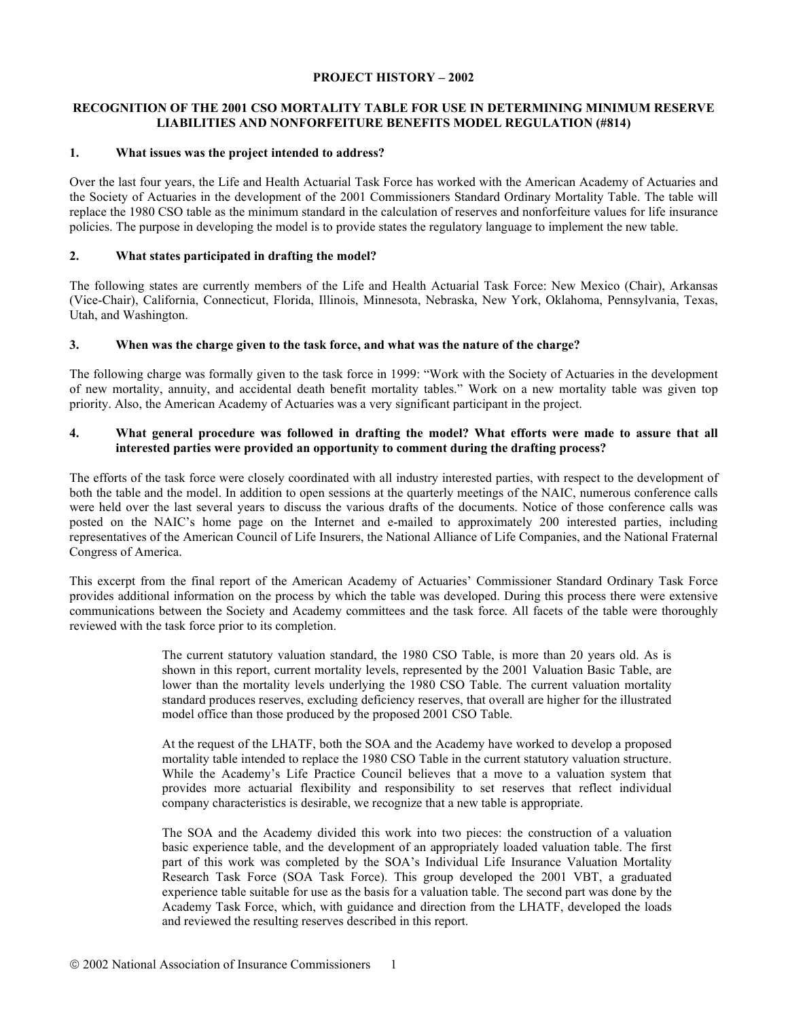#### **PROJECT HISTORY – 2002**

# **RECOGNITION OF THE 2001 CSO MORTALITY TABLE FOR USE IN DETERMINING MINIMUM RESERVE LIABILITIES AND NONFORFEITURE BENEFITS MODEL REGULATION (#814)**

# **1. What issues was the project intended to address?**

Over the last four years, the Life and Health Actuarial Task Force has worked with the American Academy of Actuaries and the Society of Actuaries in the development of the 2001 Commissioners Standard Ordinary Mortality Table. The table will replace the 1980 CSO table as the minimum standard in the calculation of reserves and nonforfeiture values for life insurance policies. The purpose in developing the model is to provide states the regulatory language to implement the new table.

# **2. What states participated in drafting the model?**

The following states are currently members of the Life and Health Actuarial Task Force: New Mexico (Chair), Arkansas (Vice-Chair), California, Connecticut, Florida, Illinois, Minnesota, Nebraska, New York, Oklahoma, Pennsylvania, Texas, Utah, and Washington.

## **3. When was the charge given to the task force, and what was the nature of the charge?**

The following charge was formally given to the task force in 1999: "Work with the Society of Actuaries in the development of new mortality, annuity, and accidental death benefit mortality tables." Work on a new mortality table was given top priority. Also, the American Academy of Actuaries was a very significant participant in the project.

# **4. What general procedure was followed in drafting the model? What efforts were made to assure that all interested parties were provided an opportunity to comment during the drafting process?**

The efforts of the task force were closely coordinated with all industry interested parties, with respect to the development of both the table and the model. In addition to open sessions at the quarterly meetings of the NAIC, numerous conference calls were held over the last several years to discuss the various drafts of the documents. Notice of those conference calls was posted on the NAIC's home page on the Internet and e-mailed to approximately 200 interested parties, including representatives of the American Council of Life Insurers, the National Alliance of Life Companies, and the National Fraternal Congress of America.

This excerpt from the final report of the American Academy of Actuaries' Commissioner Standard Ordinary Task Force provides additional information on the process by which the table was developed. During this process there were extensive communications between the Society and Academy committees and the task force. All facets of the table were thoroughly reviewed with the task force prior to its completion.

> The current statutory valuation standard, the 1980 CSO Table, is more than 20 years old. As is shown in this report, current mortality levels, represented by the 2001 Valuation Basic Table, are lower than the mortality levels underlying the 1980 CSO Table. The current valuation mortality standard produces reserves, excluding deficiency reserves, that overall are higher for the illustrated model office than those produced by the proposed 2001 CSO Table.

> At the request of the LHATF, both the SOA and the Academy have worked to develop a proposed mortality table intended to replace the 1980 CSO Table in the current statutory valuation structure. While the Academy's Life Practice Council believes that a move to a valuation system that provides more actuarial flexibility and responsibility to set reserves that reflect individual company characteristics is desirable, we recognize that a new table is appropriate.

> The SOA and the Academy divided this work into two pieces: the construction of a valuation basic experience table, and the development of an appropriately loaded valuation table. The first part of this work was completed by the SOA's Individual Life Insurance Valuation Mortality Research Task Force (SOA Task Force). This group developed the 2001 VBT, a graduated experience table suitable for use as the basis for a valuation table. The second part was done by the Academy Task Force, which, with guidance and direction from the LHATF, developed the loads and reviewed the resulting reserves described in this report.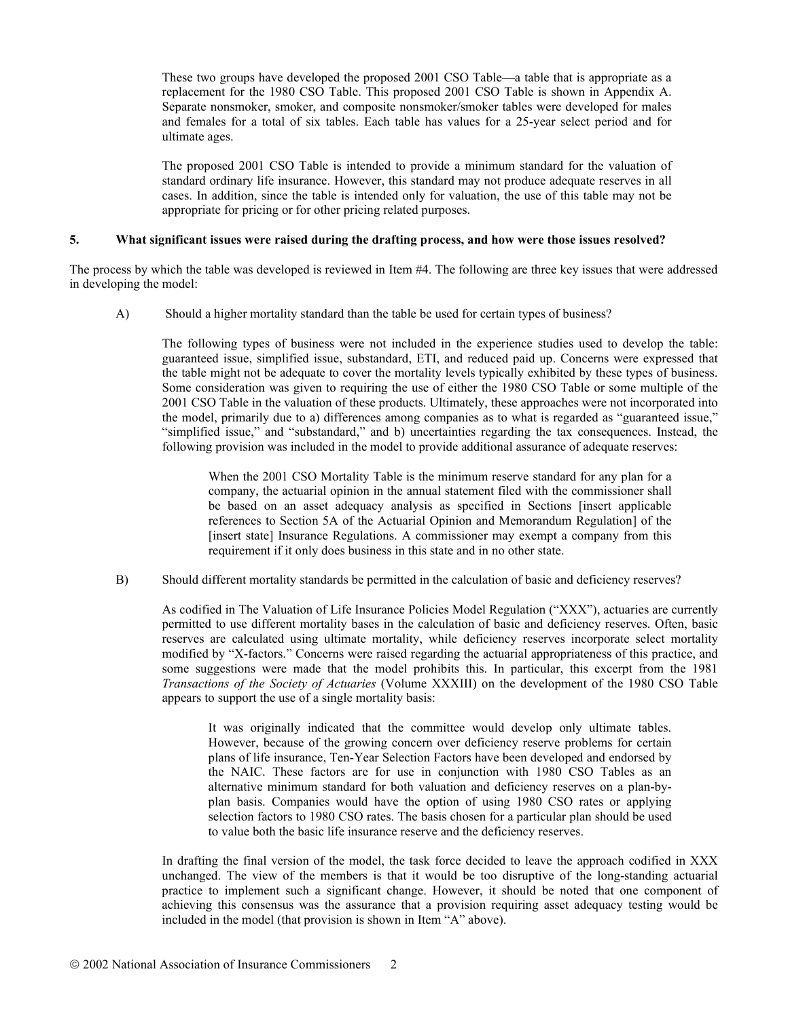These two groups have developed the proposed 2001 CSO Table—a table that is appropriate as a replacement for the 1980 CSO Table. This proposed 2001 CSO Table is shown in Appendix A. Separate nonsmoker, smoker, and composite nonsmoker/smoker tables were developed for males and females for a total of six tables. Each table has values for a 25-year select period and for ultimate ages.

The proposed 2001 CSO Table is intended to provide a minimum standard for the valuation of standard ordinary life insurance. However, this standard may not produce adequate reserves in all cases. In addition, since the table is intended only for valuation, the use of this table may not be appropriate for pricing or for other pricing related purposes.

#### **5. What significant issues were raised during the drafting process, and how were those issues resolved?**

The process by which the table was developed is reviewed in Item #4. The following are three key issues that were addressed in developing the model:

A) Should a higher mortality standard than the table be used for certain types of business?

The following types of business were not included in the experience studies used to develop the table: guaranteed issue, simplified issue, substandard, ETI, and reduced paid up. Concerns were expressed that the table might not be adequate to cover the mortality levels typically exhibited by these types of business. Some consideration was given to requiring the use of either the 1980 CSO Table or some multiple of the 2001 CSO Table in the valuation of these products. Ultimately, these approaches were not incorporated into the model, primarily due to a) differences among companies as to what is regarded as "guaranteed issue," "simplified issue," and "substandard," and b) uncertainties regarding the tax consequences. Instead, the following provision was included in the model to provide additional assurance of adequate reserves:

When the 2001 CSO Mortality Table is the minimum reserve standard for any plan for a company, the actuarial opinion in the annual statement filed with the commissioner shall be based on an asset adequacy analysis as specified in Sections [insert applicable references to Section 5A of the Actuarial Opinion and Memorandum Regulation] of the [insert state] Insurance Regulations. A commissioner may exempt a company from this requirement if it only does business in this state and in no other state.

B) Should different mortality standards be permitted in the calculation of basic and deficiency reserves?

As codified in The Valuation of Life Insurance Policies Model Regulation ("XXX"), actuaries are currently permitted to use different mortality bases in the calculation of basic and deficiency reserves. Often, basic reserves are calculated using ultimate mortality, while deficiency reserves incorporate select mortality modified by "X-factors." Concerns were raised regarding the actuarial appropriateness of this practice, and some suggestions were made that the model prohibits this. In particular, this excerpt from the 1981 *Transactions of the Society of Actuaries* (Volume XXXIII) on the development of the 1980 CSO Table appears to support the use of a single mortality basis:

It was originally indicated that the committee would develop only ultimate tables. However, because of the growing concern over deficiency reserve problems for certain plans of life insurance, Ten-Year Selection Factors have been developed and endorsed by the NAIC. These factors are for use in conjunction with 1980 CSO Tables as an alternative minimum standard for both valuation and deficiency reserves on a plan-byplan basis. Companies would have the option of using 1980 CSO rates or applying selection factors to 1980 CSO rates. The basis chosen for a particular plan should be used to value both the basic life insurance reserve and the deficiency reserves.

In drafting the final version of the model, the task force decided to leave the approach codified in XXX unchanged. The view of the members is that it would be too disruptive of the long-standing actuarial practice to implement such a significant change. However, it should be noted that one component of achieving this consensus was the assurance that a provision requiring asset adequacy testing would be included in the model (that provision is shown in Item "A" above).